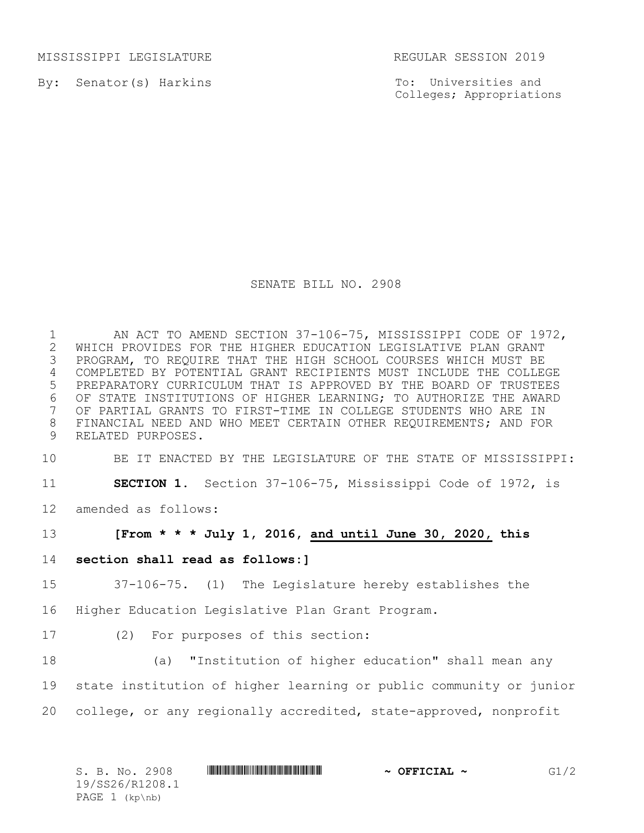MISSISSIPPI LEGISLATURE REGULAR SESSION 2019

By: Senator(s) Harkins

To: Universities and Colleges; Appropriations

## SENATE BILL NO. 2908

1 AN ACT TO AMEND SECTION 37-106-75, MISSISSIPPI CODE OF 1972, 2 WHICH PROVIDES FOR THE HIGHER EDUCATION LEGISLATIVE PLAN GRANT<br>3 PROGRAM, TO REQUIRE THAT THE HIGH SCHOOL COURSES WHICH MUST BE PROGRAM, TO REQUIRE THAT THE HIGH SCHOOL COURSES WHICH MUST BE 4 COMPLETED BY POTENTIAL GRANT RECIPIENTS MUST INCLUDE THE COLLEGE 5 PREPARATORY CURRICULUM THAT IS APPROVED BY THE BOARD OF TRUSTEES 6 OF STATE INSTITUTIONS OF HIGHER LEARNING; TO AUTHORIZE THE AWARD<br>7 OF PARTIAL GRANTS TO FIRST-TIME IN COLLEGE STUDENTS WHO ARE IN OF PARTIAL GRANTS TO FIRST-TIME IN COLLEGE STUDENTS WHO ARE IN 8 FINANCIAL NEED AND WHO MEET CERTAIN OTHER REQUIREMENTS; AND FOR 9 RELATED PURPOSES.

10 BE IT ENACTED BY THE LEGISLATURE OF THE STATE OF MISSISSIPPI:

11 **SECTION 1.** Section 37-106-75, Mississippi Code of 1972, is

12 amended as follows:

13 **[From \* \* \* July 1, 2016, and until June 30, 2020, this** 

14 **section shall read as follows:]**

15 37-106-75. (1) The Legislature hereby establishes the

16 Higher Education Legislative Plan Grant Program.

17 (2) For purposes of this section:

18 (a) "Institution of higher education" shall mean any

19 state institution of higher learning or public community or junior

20 college, or any regionally accredited, state-approved, nonprofit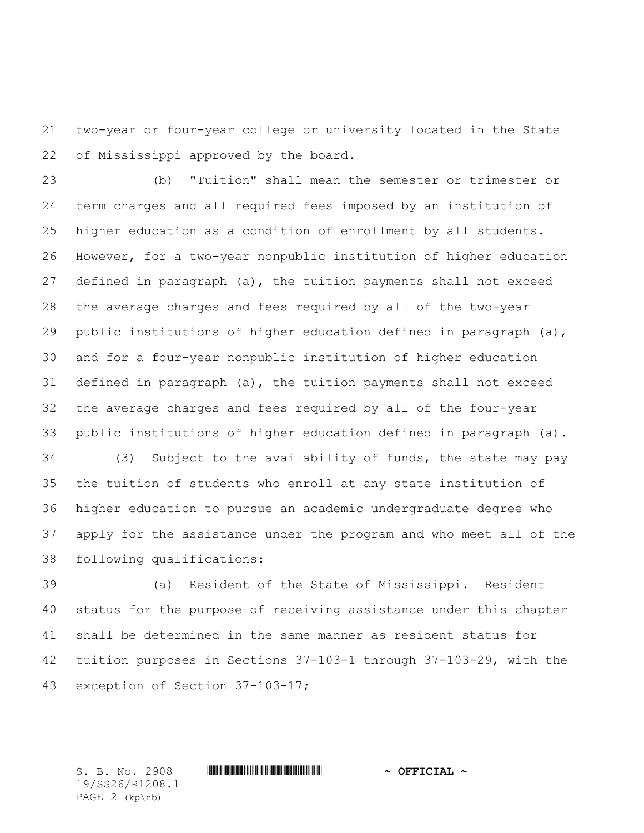two-year or four-year college or university located in the State of Mississippi approved by the board.

 (b) "Tuition" shall mean the semester or trimester or term charges and all required fees imposed by an institution of higher education as a condition of enrollment by all students. However, for a two-year nonpublic institution of higher education defined in paragraph (a), the tuition payments shall not exceed the average charges and fees required by all of the two-year public institutions of higher education defined in paragraph (a), and for a four-year nonpublic institution of higher education defined in paragraph (a), the tuition payments shall not exceed the average charges and fees required by all of the four-year public institutions of higher education defined in paragraph (a).

 (3) Subject to the availability of funds, the state may pay the tuition of students who enroll at any state institution of higher education to pursue an academic undergraduate degree who apply for the assistance under the program and who meet all of the following qualifications:

 (a) Resident of the State of Mississippi. Resident status for the purpose of receiving assistance under this chapter shall be determined in the same manner as resident status for tuition purposes in Sections 37-103-1 through 37-103-29, with the exception of Section 37-103-17;

19/SS26/R1208.1 PAGE 2 (kp\nb)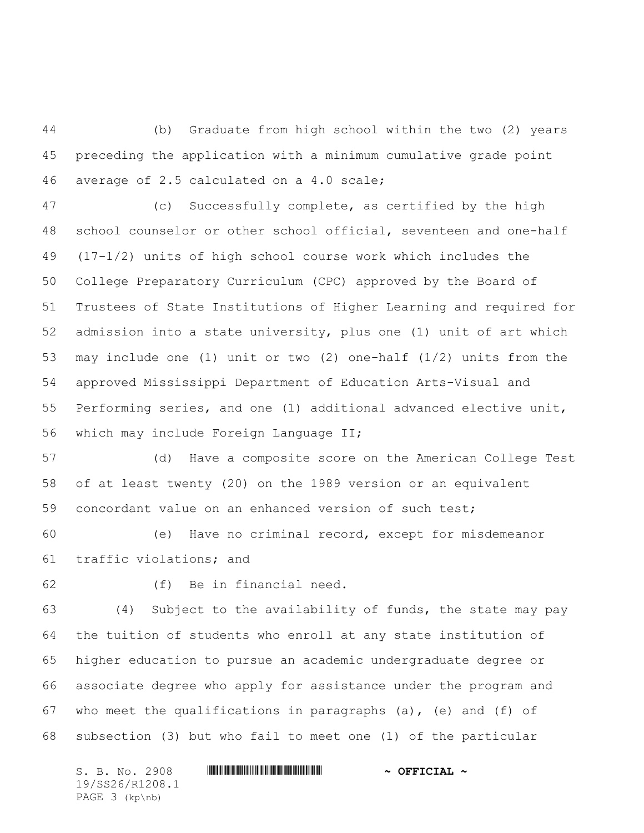(b) Graduate from high school within the two (2) years preceding the application with a minimum cumulative grade point average of 2.5 calculated on a 4.0 scale;

 (c) Successfully complete, as certified by the high school counselor or other school official, seventeen and one-half (17-1/2) units of high school course work which includes the College Preparatory Curriculum (CPC) approved by the Board of Trustees of State Institutions of Higher Learning and required for admission into a state university, plus one (1) unit of art which may include one (1) unit or two (2) one-half (1/2) units from the approved Mississippi Department of Education Arts-Visual and Performing series, and one (1) additional advanced elective unit, which may include Foreign Language II;

 (d) Have a composite score on the American College Test of at least twenty (20) on the 1989 version or an equivalent concordant value on an enhanced version of such test;

 (e) Have no criminal record, except for misdemeanor traffic violations; and

(f) Be in financial need.

 (4) Subject to the availability of funds, the state may pay the tuition of students who enroll at any state institution of higher education to pursue an academic undergraduate degree or associate degree who apply for assistance under the program and who meet the qualifications in paragraphs (a), (e) and (f) of subsection (3) but who fail to meet one (1) of the particular

S. B. No. 2908 \*SS26/R1208.1\* **~ OFFICIAL ~** 19/SS26/R1208.1 PAGE 3 (kp\nb)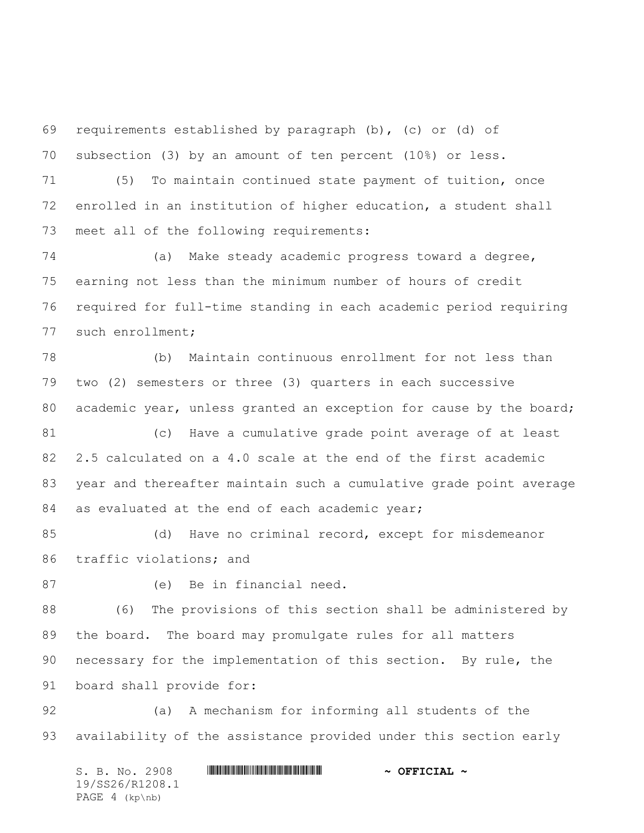requirements established by paragraph (b), (c) or (d) of subsection (3) by an amount of ten percent (10%) or less.

 (5) To maintain continued state payment of tuition, once enrolled in an institution of higher education, a student shall meet all of the following requirements:

 (a) Make steady academic progress toward a degree, earning not less than the minimum number of hours of credit required for full-time standing in each academic period requiring such enrollment;

 (b) Maintain continuous enrollment for not less than two (2) semesters or three (3) quarters in each successive 80 academic year, unless granted an exception for cause by the board; (c) Have a cumulative grade point average of at least 2.5 calculated on a 4.0 scale at the end of the first academic year and thereafter maintain such a cumulative grade point average

84 as evaluated at the end of each academic year;

 (d) Have no criminal record, except for misdemeanor traffic violations; and

(e) Be in financial need.

 (6) The provisions of this section shall be administered by the board. The board may promulgate rules for all matters necessary for the implementation of this section. By rule, the board shall provide for:

 (a) A mechanism for informing all students of the availability of the assistance provided under this section early

S. B. No. 2908 \*SS26/R1208.1\* **~ OFFICIAL ~** 19/SS26/R1208.1 PAGE 4 (kp\nb)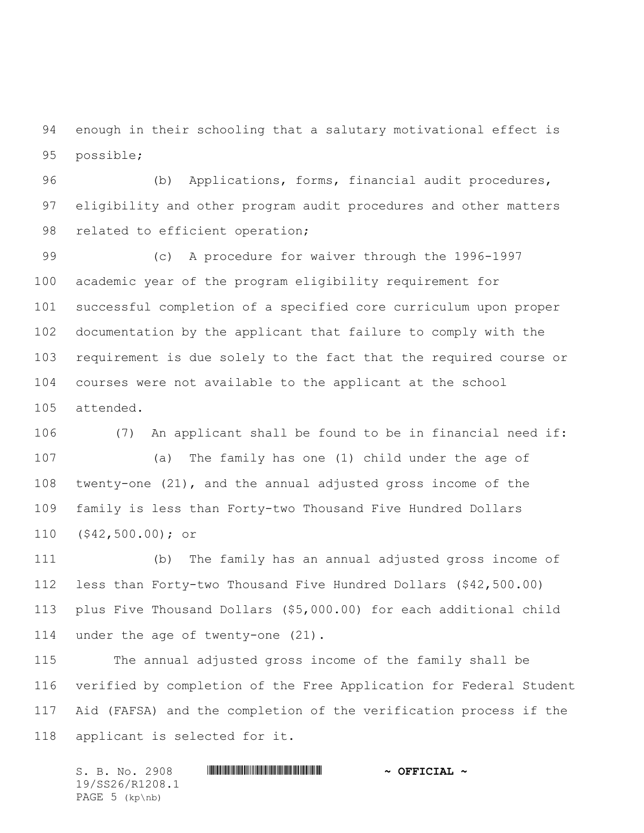enough in their schooling that a salutary motivational effect is possible;

 (b) Applications, forms, financial audit procedures, eligibility and other program audit procedures and other matters 98 related to efficient operation;

 (c) A procedure for waiver through the 1996-1997 academic year of the program eligibility requirement for successful completion of a specified core curriculum upon proper documentation by the applicant that failure to comply with the requirement is due solely to the fact that the required course or courses were not available to the applicant at the school attended.

 (7) An applicant shall be found to be in financial need if: (a) The family has one (1) child under the age of twenty-one (21), and the annual adjusted gross income of the family is less than Forty-two Thousand Five Hundred Dollars (\$42,500.00); or

 (b) The family has an annual adjusted gross income of less than Forty-two Thousand Five Hundred Dollars (\$42,500.00) plus Five Thousand Dollars (\$5,000.00) for each additional child under the age of twenty-one (21).

 The annual adjusted gross income of the family shall be verified by completion of the Free Application for Federal Student Aid (FAFSA) and the completion of the verification process if the applicant is selected for it.

S. B. No. 2908 \*SS26/R1208.1\* **~ OFFICIAL ~** 19/SS26/R1208.1 PAGE 5 (kp\nb)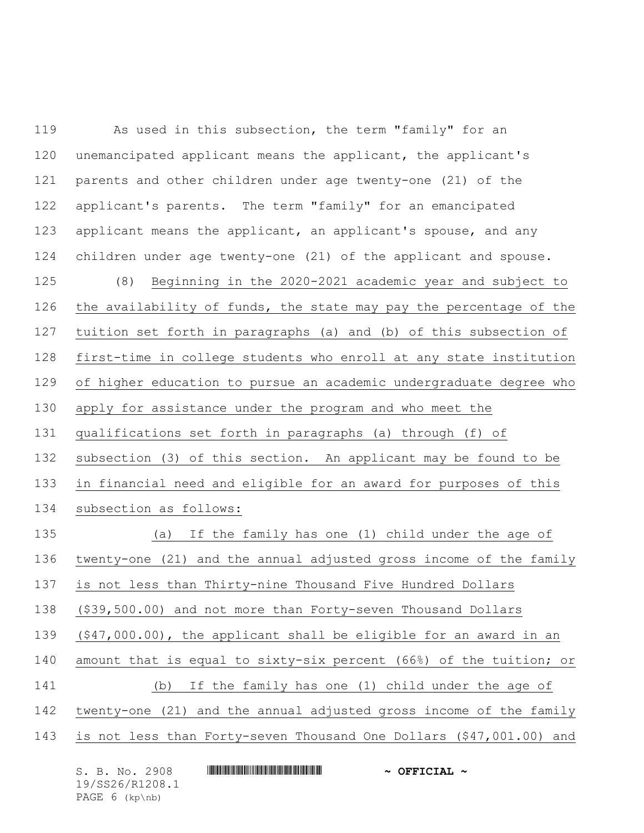As used in this subsection, the term "family" for an unemancipated applicant means the applicant, the applicant's parents and other children under age twenty-one (21) of the applicant's parents. The term "family" for an emancipated applicant means the applicant, an applicant's spouse, and any children under age twenty-one (21) of the applicant and spouse. (8) Beginning in the 2020-2021 academic year and subject to the availability of funds, the state may pay the percentage of the tuition set forth in paragraphs (a) and (b) of this subsection of first-time in college students who enroll at any state institution of higher education to pursue an academic undergraduate degree who apply for assistance under the program and who meet the qualifications set forth in paragraphs (a) through (f) of subsection (3) of this section. An applicant may be found to be in financial need and eligible for an award for purposes of this subsection as follows: (a) If the family has one (1) child under the age of twenty-one (21) and the annual adjusted gross income of the family is not less than Thirty-nine Thousand Five Hundred Dollars (\$39,500.00) and not more than Forty-seven Thousand Dollars (\$47,000.00), the applicant shall be eligible for an award in an amount that is equal to sixty-six percent (66%) of the tuition; or (b) If the family has one (1) child under the age of twenty-one (21) and the annual adjusted gross income of the family is not less than Forty-seven Thousand One Dollars (\$47,001.00) and

S. B. No. 2908 \*SS26/R1208.1\* **~ OFFICIAL ~** 19/SS26/R1208.1 PAGE 6 (kp\nb)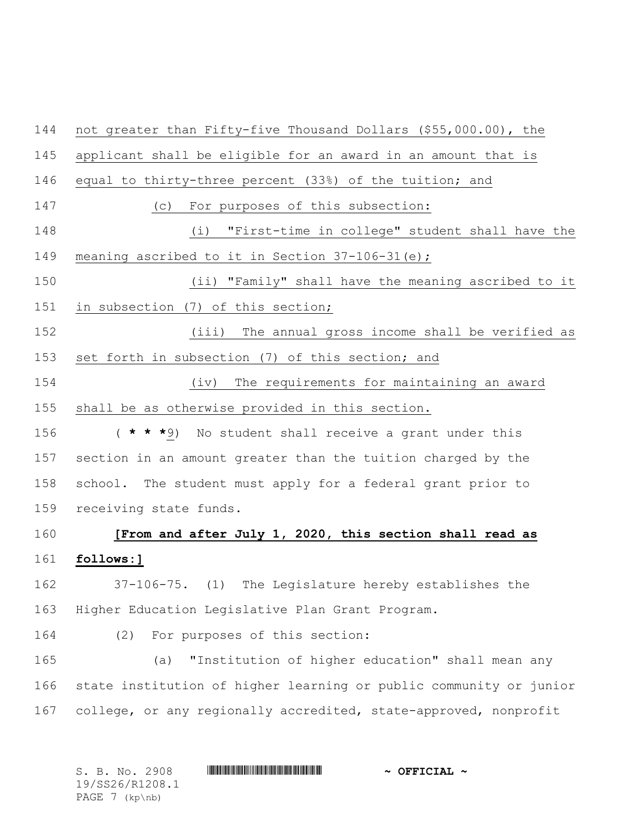not greater than Fifty-five Thousand Dollars (\$55,000.00), the applicant shall be eligible for an award in an amount that is equal to thirty-three percent (33%) of the tuition; and (c) For purposes of this subsection: (i) "First-time in college" student shall have the meaning ascribed to it in Section 37-106-31(e); (ii) "Family" shall have the meaning ascribed to it in subsection (7) of this section; (iii) The annual gross income shall be verified as set forth in subsection (7) of this section; and (iv) The requirements for maintaining an award shall be as otherwise provided in this section. ( **\* \* \***9) No student shall receive a grant under this section in an amount greater than the tuition charged by the school. The student must apply for a federal grant prior to receiving state funds. **[From and after July 1, 2020, this section shall read as follows:]** 37-106-75. (1) The Legislature hereby establishes the Higher Education Legislative Plan Grant Program. (2) For purposes of this section: (a) "Institution of higher education" shall mean any state institution of higher learning or public community or junior college, or any regionally accredited, state-approved, nonprofit

| S. B. No. 2908   | $\sim$ OFFICIAL $\sim$ |
|------------------|------------------------|
| 19/SS26/R1208.1  |                        |
| PAGE $7$ (kp\nb) |                        |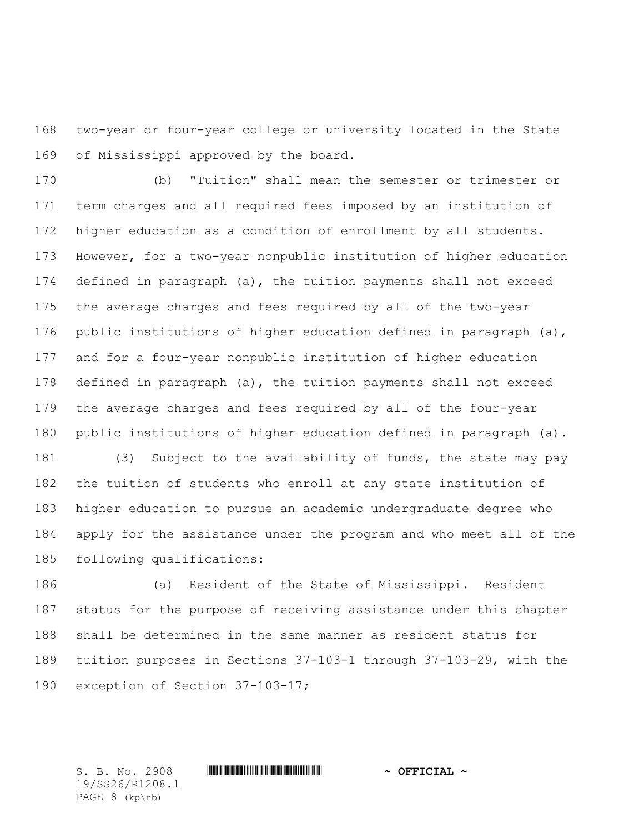two-year or four-year college or university located in the State of Mississippi approved by the board.

 (b) "Tuition" shall mean the semester or trimester or term charges and all required fees imposed by an institution of higher education as a condition of enrollment by all students. However, for a two-year nonpublic institution of higher education defined in paragraph (a), the tuition payments shall not exceed the average charges and fees required by all of the two-year public institutions of higher education defined in paragraph (a), and for a four-year nonpublic institution of higher education defined in paragraph (a), the tuition payments shall not exceed the average charges and fees required by all of the four-year public institutions of higher education defined in paragraph (a). (3) Subject to the availability of funds, the state may pay

 the tuition of students who enroll at any state institution of higher education to pursue an academic undergraduate degree who apply for the assistance under the program and who meet all of the following qualifications:

 (a) Resident of the State of Mississippi. Resident status for the purpose of receiving assistance under this chapter shall be determined in the same manner as resident status for tuition purposes in Sections 37-103-1 through 37-103-29, with the exception of Section 37-103-17;

S. B. No. 2908 \*SS26/R1208.1\* **~ OFFICIAL ~**

19/SS26/R1208.1 PAGE 8 (kp\nb)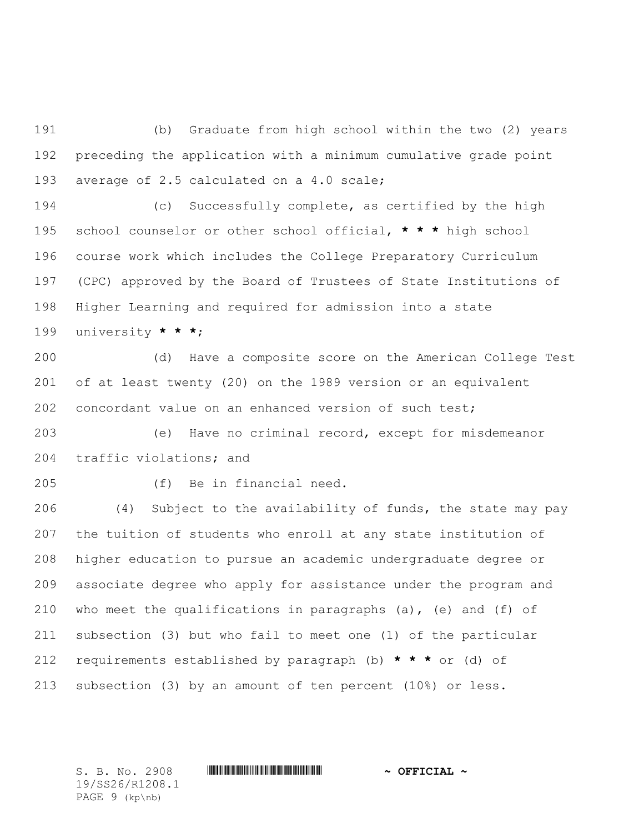(b) Graduate from high school within the two (2) years preceding the application with a minimum cumulative grade point average of 2.5 calculated on a 4.0 scale;

 (c) Successfully complete, as certified by the high school counselor or other school official, **\* \* \*** high school course work which includes the College Preparatory Curriculum (CPC) approved by the Board of Trustees of State Institutions of Higher Learning and required for admission into a state university **\* \* \***;

 (d) Have a composite score on the American College Test of at least twenty (20) on the 1989 version or an equivalent concordant value on an enhanced version of such test;

 (e) Have no criminal record, except for misdemeanor traffic violations; and

(f) Be in financial need.

 (4) Subject to the availability of funds, the state may pay the tuition of students who enroll at any state institution of higher education to pursue an academic undergraduate degree or associate degree who apply for assistance under the program and who meet the qualifications in paragraphs (a), (e) and (f) of subsection (3) but who fail to meet one (1) of the particular requirements established by paragraph (b) **\* \* \*** or (d) of subsection (3) by an amount of ten percent (10%) or less.

S. B. No. 2908 \*SS26/R1208.1\* **~ OFFICIAL ~** 19/SS26/R1208.1 PAGE 9 (kp\nb)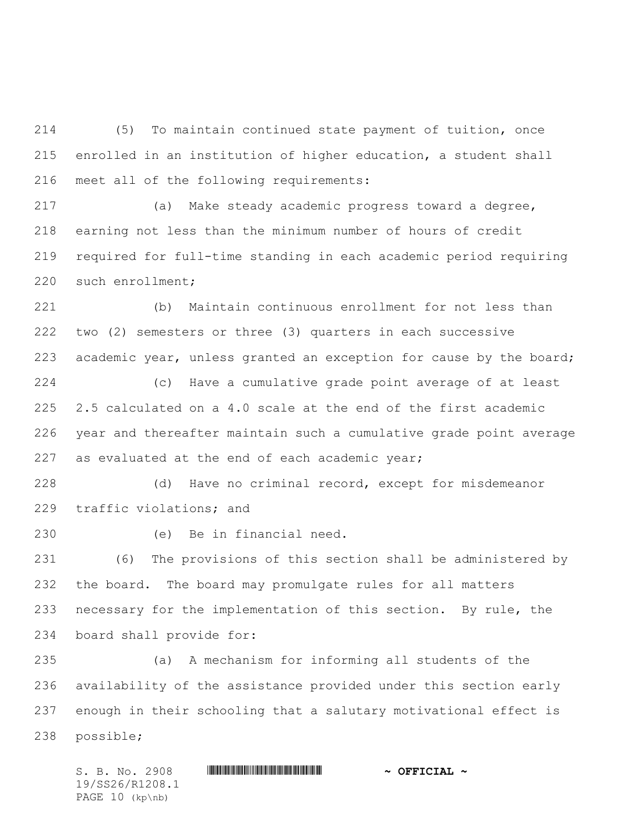(5) To maintain continued state payment of tuition, once enrolled in an institution of higher education, a student shall meet all of the following requirements:

 (a) Make steady academic progress toward a degree, earning not less than the minimum number of hours of credit required for full-time standing in each academic period requiring such enrollment;

 (b) Maintain continuous enrollment for not less than two (2) semesters or three (3) quarters in each successive academic year, unless granted an exception for cause by the board;

 (c) Have a cumulative grade point average of at least 2.5 calculated on a 4.0 scale at the end of the first academic year and thereafter maintain such a cumulative grade point average 227 as evaluated at the end of each academic year;

 (d) Have no criminal record, except for misdemeanor traffic violations; and

(e) Be in financial need.

 (6) The provisions of this section shall be administered by the board. The board may promulgate rules for all matters necessary for the implementation of this section. By rule, the board shall provide for:

 (a) A mechanism for informing all students of the availability of the assistance provided under this section early enough in their schooling that a salutary motivational effect is possible;

S. B. No. 2908 \*SS26/R1208.1\* **~ OFFICIAL ~** 19/SS26/R1208.1 PAGE 10 (kp\nb)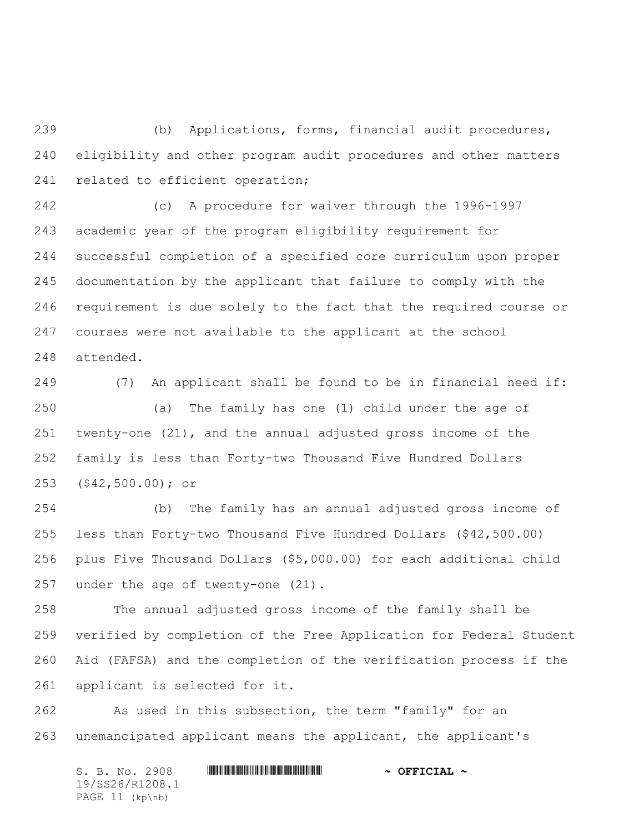(b) Applications, forms, financial audit procedures, eligibility and other program audit procedures and other matters 241 related to efficient operation;

 (c) A procedure for waiver through the 1996-1997 academic year of the program eligibility requirement for successful completion of a specified core curriculum upon proper documentation by the applicant that failure to comply with the requirement is due solely to the fact that the required course or courses were not available to the applicant at the school attended.

 (7) An applicant shall be found to be in financial need if: (a) The family has one (1) child under the age of twenty-one (21), and the annual adjusted gross income of the family is less than Forty-two Thousand Five Hundred Dollars (\$42,500.00); or

 (b) The family has an annual adjusted gross income of less than Forty-two Thousand Five Hundred Dollars (\$42,500.00) plus Five Thousand Dollars (\$5,000.00) for each additional child under the age of twenty-one (21).

 The annual adjusted gross income of the family shall be verified by completion of the Free Application for Federal Student Aid (FAFSA) and the completion of the verification process if the applicant is selected for it.

 As used in this subsection, the term "family" for an unemancipated applicant means the applicant, the applicant's

S. B. No. 2908 \*SS26/R1208.1\* **~ OFFICIAL ~** 19/SS26/R1208.1 PAGE 11 (kp\nb)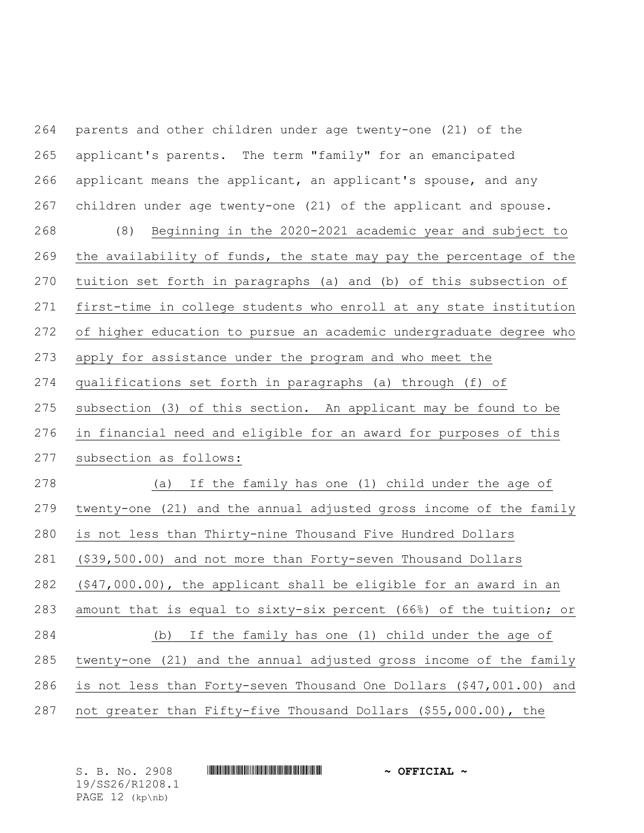| 264 | parents and other children under age twenty-one (21) of the         |
|-----|---------------------------------------------------------------------|
| 265 | applicant's parents. The term "family" for an emancipated           |
| 266 | applicant means the applicant, an applicant's spouse, and any       |
| 267 | children under age twenty-one (21) of the applicant and spouse.     |
| 268 | Beginning in the 2020-2021 academic year and subject to<br>(8)      |
| 269 | the availability of funds, the state may pay the percentage of the  |
| 270 | tuition set forth in paragraphs (a) and (b) of this subsection of   |
| 271 | first-time in college students who enroll at any state institution  |
| 272 | of higher education to pursue an academic undergraduate degree who  |
| 273 | apply for assistance under the program and who meet the             |
| 274 | qualifications set forth in paragraphs (a) through (f) of           |
| 275 | subsection (3) of this section. An applicant may be found to be     |
| 276 | in financial need and eligible for an award for purposes of this    |
| 277 | subsection as follows:                                              |
| 278 | If the family has one (1) child under the age of<br>(a)             |
| 279 | twenty-one (21) and the annual adjusted gross income of the family  |
| 280 | is not less than Thirty-nine Thousand Five Hundred Dollars          |
| 281 | (\$39,500.00) and not more than Forty-seven Thousand Dollars        |
| 282 | $(47,000.00)$ , the applicant shall be eligible for an award in an  |
| 283 | amount that is equal to sixty-six percent (66%) of the tuition; or  |
| 284 | If the family has one (1) child under the age of<br>(b)             |
| 285 | twenty-one (21) and the annual adjusted gross income of the family  |
| 286 | is not less than Forty-seven Thousand One Dollars (\$47,001.00) and |
| 287 | not greater than Fifty-five Thousand Dollars (\$55,000.00), the     |

| S. B. No. 2908    |  | $\sim$ OFFICIAL $\sim$ |
|-------------------|--|------------------------|
| 19/SS26/R1208.1   |  |                        |
| PAGE $12$ (kp\nb) |  |                        |